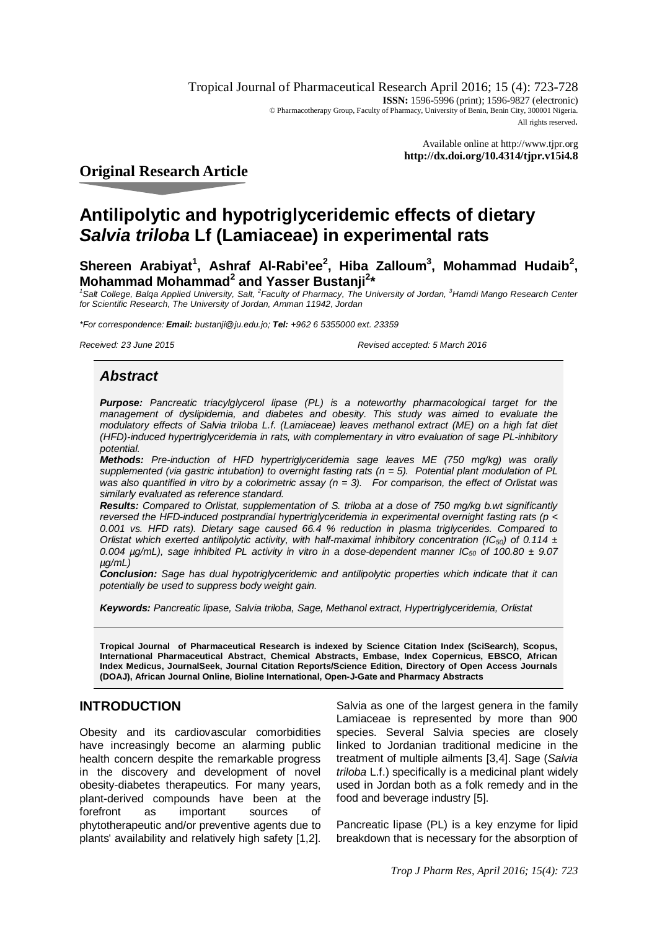Tropical Journal of Pharmaceutical Research April 2016; 15 (4): 723-728 **ISSN:** 1596-5996 (print): 1596-9827 (electronic) © Pharmacotherapy Group, Faculty of Pharmacy, University of Benin, Benin City, 300001 Nigeria. All rights reserved.

> Available online at <http://www.tjpr.org> **<http://dx.doi.org/10.4314/tjpr.v15i4.8>**

# **Original Research Article**

# **Antilipolytic and hypotriglyceridemic effects of dietary**  *Salvia triloba* **Lf (Lamiaceae) in experimental rats**

Shereen Arabiyat<sup>1</sup>, Ashraf Al-Rabi'ee<sup>2</sup>, Hiba Zalloum<sup>3</sup>, Mohammad Hudaib<sup>2</sup>, **Mohammad Mohammad<sup>2</sup> and Yasser Bustanji<sup>2</sup> \***

<sup>1</sup> Salt College, Balqa Applied University, Salt, <sup>2</sup> Faculty of Pharmacy, The University of Jordan, <sup>3</sup> Hamdi Mango Research Center *for Scientific Research, The University of Jordan, Amman 11942, Jordan*

*\*For correspondence: Email: [bustanji@ju.edu.jo;](mailto:bustanji@ju.edu.jo;) Tel: +962 6 5355000 ext. 23359*

*Received: 23 June 2015 Revised accepted: 5 March 2016*

# *Abstract*

*Purpose: Pancreatic triacylglycerol lipase (PL) is a noteworthy pharmacological target for the management of dyslipidemia, and diabetes and obesity. This study was aimed to evaluate the modulatory effects of Salvia triloba L.f. (Lamiaceae) leaves methanol extract (ME) on a high fat diet (HFD)-induced hypertriglyceridemia in rats, with complementary in vitro evaluation of sage PL-inhibitory potential.* 

*Methods: Pre-induction of HFD hypertriglyceridemia sage leaves ME (750 mg/kg) was orally supplemented (via gastric intubation) to overnight fasting rats (n = 5). Potential plant modulation of PL was also quantified in vitro by a colorimetric assay (n = 3). For comparison, the effect of Orlistat was similarly evaluated as reference standard.*

*Results: Compared to Orlistat, supplementation of S. triloba at a dose of 750 mg/kg b.wt significantly reversed the HFD-induced postprandial hypertriglyceridemia in experimental overnight fasting rats (p < 0.001 vs. HFD rats). Dietary sage caused 66.4 % reduction in plasma triglycerides. Compared to Orlistat which exerted antilipolytic activity, with half-maximal inhibitory concentration (IC50) of 0.114 ± 0.004 µg/mL), sage inhibited PL activity in vitro in a dose-dependent manner IC<sup>50</sup> of 100.80 ± 9.07 µg/mL)* 

*Conclusion: Sage has dual hypotriglyceridemic and antilipolytic properties which indicate that it can potentially be used to suppress body weight gain.*

*Keywords: Pancreatic lipase, Salvia triloba, Sage, Methanol extract, Hypertriglyceridemia, Orlistat*

**Tropical Journal of Pharmaceutical Research is indexed by Science Citation Index (SciSearch), Scopus, International Pharmaceutical Abstract, Chemical Abstracts, Embase, Index Copernicus, EBSCO, African Index Medicus, JournalSeek, Journal Citation Reports/Science Edition, Directory of Open Access Journals (DOAJ), African Journal Online, Bioline International, Open-J-Gate and Pharmacy Abstracts**

# **INTRODUCTION**

Obesity and its cardiovascular comorbidities have increasingly become an alarming public health concern despite the remarkable progress in the discovery and development of novel obesity-diabetes therapeutics. For many years, plant-derived compounds have been at the forefront as important sources of phytotherapeutic and/or preventive agents due to plants' availability and relatively high safety [1,2].

Salvia as one of the largest genera in the family Lamiaceae is represented by more than 900 species. Several Salvia species are closely linked to Jordanian traditional medicine in the treatment of multiple ailments [3,4]. Sage (*Salvia triloba* L.f.) specifically is a medicinal plant widely used in Jordan both as a folk remedy and in the food and beverage industry [5].

Pancreatic lipase (PL) is a key enzyme for lipid breakdown that is necessary for the absorption of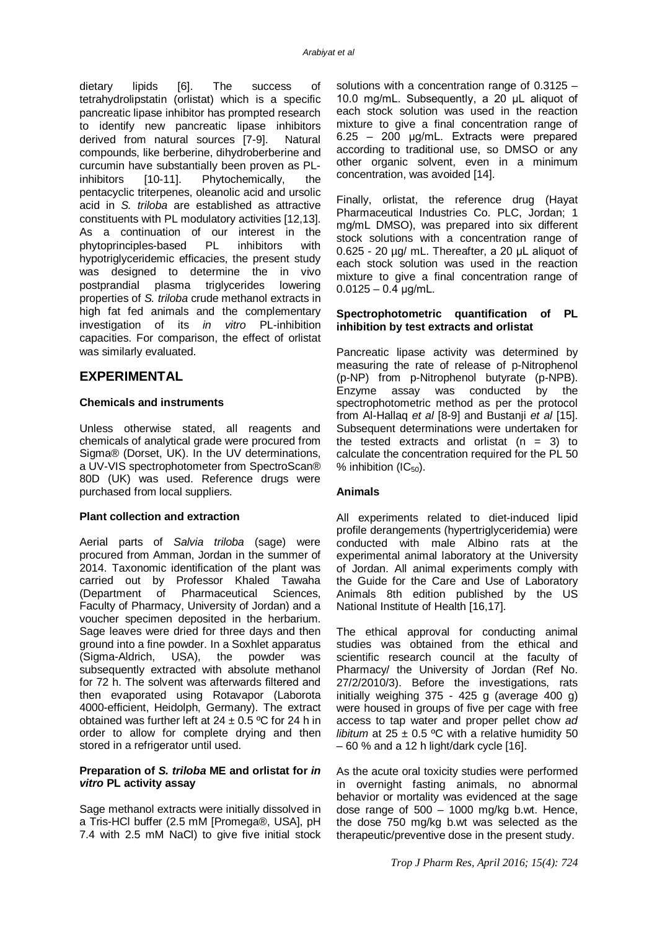dietary lipids [6]. The success of tetrahydrolipstatin (orlistat) which is a specific pancreatic lipase inhibitor has prompted research to identify new pancreatic lipase inhibitors derived from natural sources [7-9]. Natural compounds, like berberine, dihydroberberine and curcumin have substantially been proven as PLinhibitors [10-11]. Phytochemically, the pentacyclic triterpenes, oleanolic acid and ursolic acid in *S. triloba* are established as attractive constituents with PL modulatory activities [12,13]. As a continuation of our interest in the phytoprinciples-based PL inhibitors with hypotriglyceridemic efficacies, the present study was designed to determine the in vivo postprandial plasma triglycerides lowering properties of *S. triloba* crude methanol extracts in high fat fed animals and the complementary investigation of its *in vitro* PL-inhibition capacities. For comparison, the effect of orlistat was similarly evaluated.

# **EXPERIMENTAL**

## **Chemicals and instruments**

Unless otherwise stated, all reagents and chemicals of analytical grade were procured from Sigma® (Dorset, UK). In the UV determinations, a UV-VIS spectrophotometer from SpectroScan® 80D (UK) was used. Reference drugs were purchased from local suppliers.

#### **Plant collection and extraction**

Aerial parts of *Salvia triloba* (sage) were procured from Amman, Jordan in the summer of 2014. Taxonomic identification of the plant was carried out by Professor Khaled Tawaha (Department of Pharmaceutical Sciences, Faculty of Pharmacy, University of Jordan) and a voucher specimen deposited in the herbarium. Sage leaves were dried for three days and then ground into a fine powder. In a Soxhlet apparatus (Sigma-Aldrich, USA), the powder was subsequently extracted with absolute methanol for 72 h. The solvent was afterwards filtered and then evaporated using Rotavapor (Laborota 4000-efficient, Heidolph, Germany). The extract obtained was further left at  $24 \pm 0.5$  °C for 24 h in order to allow for complete drying and then stored in a refrigerator until used.

## **Preparation of** *S. triloba* **ME and orlistat for** *in vitro* **PL activity assay**

Sage methanol extracts were initially dissolved in a Tris-HCl buffer (2.5 mM [Promega®, USA], pH 7.4 with 2.5 mM NaCl) to give five initial stock

solutions with a concentration range of 0.3125 – 10.0 mg/mL. Subsequently, a 20 μL aliquot of each stock solution was used in the reaction mixture to give a final concentration range of 6.25 – 200 μg/mL. Extracts were prepared according to traditional use, so DMSO or any other organic solvent, even in a minimum concentration, was avoided [14].

Finally, orlistat, the reference drug (Hayat Pharmaceutical Industries Co. PLC, Jordan; 1 mg/mL DMSO), was prepared into six different stock solutions with a concentration range of 0.625 - 20 µg/ mL. Thereafter, a 20 μL aliquot of each stock solution was used in the reaction mixture to give a final concentration range of  $0.0125 - 0.4$  µg/mL.

## **Spectrophotometric quantification of PL inhibition by test extracts and orlistat**

Pancreatic lipase activity was determined by measuring the rate of release of p-Nitrophenol (p-NP) from p-Nitrophenol butyrate (p-NPB). Enzyme assay was conducted by the spectrophotometric method as per the protocol from Al-Hallaq *et al* [8-9] and Bustanji *et al* [15]. Subsequent determinations were undertaken for the tested extracts and orlistat  $(n = 3)$  to calculate the concentration required for the PL 50 % inhibition  $(IC_{50})$ .

## **Animals**

All experiments related to diet-induced lipid profile derangements (hypertriglyceridemia) were conducted with male Albino rats at the experimental animal laboratory at the University of Jordan. All animal experiments comply with the Guide for the Care and Use of Laboratory Animals 8th edition published by the US National Institute of Health [16,17].

The ethical approval for conducting animal studies was obtained from the ethical and scientific research council at the faculty of Pharmacy/ the University of Jordan (Ref No. 27/2/2010/3). Before the investigations, rats initially weighing 375 - 425 g (average 400 g) were housed in groups of five per cage with free access to tap water and proper pellet chow *ad libitum* at  $25 \pm 0.5$  °C with a relative humidity 50  $-60$  % and a 12 h light/dark cycle [16].

As the acute oral toxicity studies were performed in overnight fasting animals, no abnormal behavior or mortality was evidenced at the sage dose range of  $500 - 1000$  mg/kg b.wt. Hence, the dose 750 mg/kg b.wt was selected as the therapeutic/preventive dose in the present study.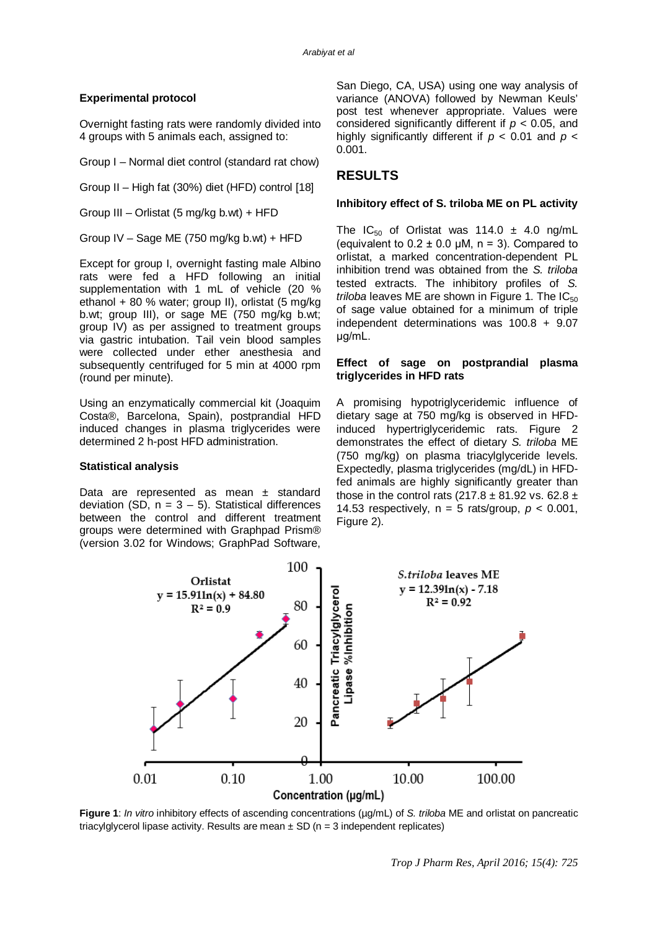## **Experimental protocol**

Overnight fasting rats were randomly divided into 4 groups with 5 animals each, assigned to:

Group I – Normal diet control (standard rat chow)

Group II – High fat (30%) diet (HFD) control [18]

Group III – Orlistat (5 mg/kg b.wt) + HFD

Group IV – Sage ME (750 mg/kg b.wt) + HFD

Except for group I, overnight fasting male Albino rats were fed a HFD following an initial supplementation with 1 mL of vehicle (20 % ethanol + 80 % water; group II), orlistat (5 mg/kg b.wt; group III), or sage ME (750 mg/kg b.wt; group IV) as per assigned to treatment groups via gastric intubation. Tail vein blood samples were collected under ether anesthesia and subsequently centrifuged for 5 min at 4000 rpm (round per minute).

Using an enzymatically commercial kit (Joaquim Costa®, Barcelona, Spain), postprandial HFD induced changes in plasma triglycerides were determined 2 h-post HFD administration.

#### **Statistical analysis**

Data are represented as mean ± standard deviation (SD,  $n = 3 - 5$ ). Statistical differences between the control and different treatment groups were determined with Graphpad Prism® (version 3.02 for Windows; GraphPad Software,

San Diego, CA, USA) using one way analysis of variance (ANOVA) followed by Newman Keuls' post test whenever appropriate. Values were considered significantly different if *p* < 0.05, and highly significantly different if *p* < 0.01 and *p* < 0.001.

# **RESULTS**

#### **Inhibitory effect of S. triloba ME on PL activity**

The  $IC_{50}$  of Orlistat was 114.0  $\pm$  4.0 ng/mL (equivalent to  $0.2 \pm 0.0$  µM, n = 3). Compared to orlistat, a marked concentration-dependent PL inhibition trend was obtained from the *S. triloba* tested extracts. The inhibitory profiles of *S. triloba* leaves ME are shown in Figure 1. The  $IC_{50}$ of sage value obtained for a minimum of triple independent determinations was 100.8 + 9.07 μg/mL.

#### **Effect of sage on postprandial plasma triglycerides in HFD rats**

A promising hypotriglyceridemic influence of dietary sage at 750 mg/kg is observed in HFDinduced hypertriglyceridemic rats. Figure 2 demonstrates the effect of dietary *S. triloba* ME (750 mg/kg) on plasma triacylglyceride levels. Expectedly, plasma triglycerides (mg/dL) in HFDfed animals are highly significantly greater than those in the control rats (217.8  $\pm$  81.92 vs. 62.8  $\pm$ 14.53 respectively,  $n = 5$  rats/group,  $p < 0.001$ , Figure 2).



**Figure 1**: *In vitro* inhibitory effects of ascending concentrations (µg/mL) of *S. triloba* ME and orlistat on pancreatic triacylglycerol lipase activity. Results are mean  $\pm$  SD (n = 3 independent replicates)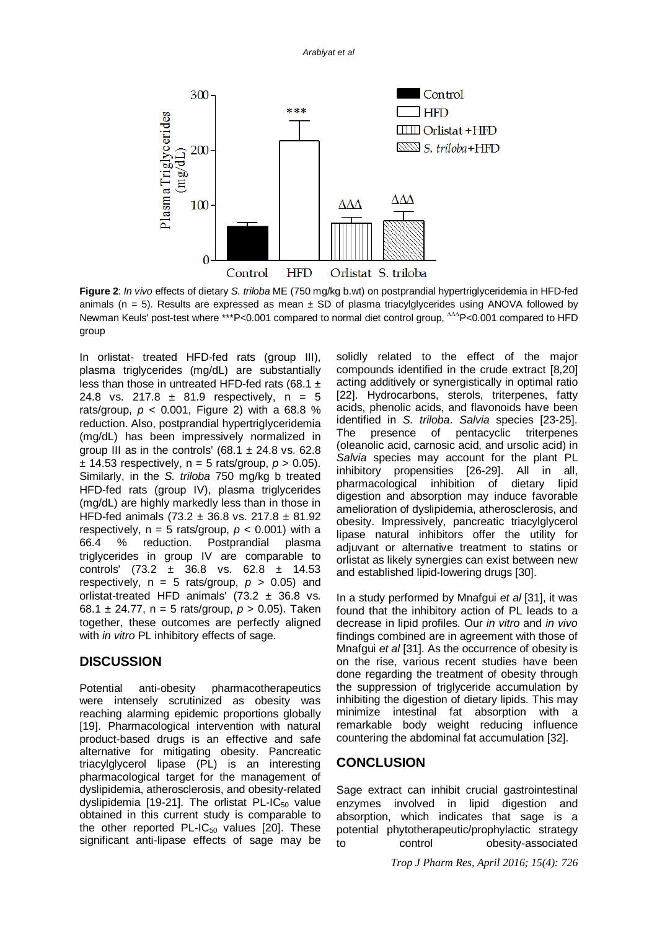

**Figure 2**: *In vivo* effects of dietary *S. triloba* ME (750 mg/kg b.wt) on postprandial hypertriglyceridemia in HFD-fed animals ( $n = 5$ ). Results are expressed as mean  $\pm$  SD of plasma triacylglycerides using ANOVA followed by Newman Keuls' post-test where \*\*\*P<0.001 compared to normal diet control group,  $\Delta\Delta\Delta P$ <0.001 compared to HFD group

In orlistat- treated HFD-fed rats (group III), plasma triglycerides (mg/dL) are substantially less than those in untreated HFD-fed rats (68.1  $\pm$ 24.8 vs. 217.8  $\pm$  81.9 respectively, n = 5 rats/group,  $p < 0.001$ , Figure 2) with a 68.8 % reduction. Also, postprandial hypertriglyceridemia (mg/dL) has been impressively normalized in group III as in the controls' (68.1  $\pm$  24.8 vs. 62.8  $\pm$  14.53 respectively, n = 5 rats/group,  $p > 0.05$ ). Similarly, in the *S. triloba* 750 mg/kg b treated HFD-fed rats (group IV), plasma triglycerides (mg/dL) are highly markedly less than in those in HFD-fed animals (73.2 ± 36.8 vs. 217.8 ± 81.92 respectively,  $n = 5$  rats/group,  $p < 0.001$ ) with a 66.4 % reduction. Postprandial plasma triglycerides in group IV are comparable to controls' (73.2 ± 36.8 vs. 62.8 ± 14.53 respectively,  $n = 5$  rats/group,  $p > 0.05$ ) and orlistat-treated HFD animals'  $(73.2 \pm 36.8 \text{ vs.})$ 68.1 ± 24.77, n = 5 rats/group, *p* > 0.05). Taken together, these outcomes are perfectly aligned with *in vitro* PL inhibitory effects of sage.

# **DISCUSSION**

Potential anti-obesity pharmacotherapeutics were intensely scrutinized as obesity was reaching alarming epidemic proportions globally [19]. Pharmacological intervention with natural product-based drugs is an effective and safe alternative for mitigating obesity. Pancreatic triacylglycerol lipase (PL) is an interesting pharmacological target for the management of dyslipidemia, atherosclerosis, and obesity-related dyslipidemia [19-21]. The orlistat PL-IC $_{50}$  value obtained in this current study is comparable to the other reported PL-IC $_{50}$  values [20]. These significant anti-lipase effects of sage may be

solidly related to the effect of the major compounds identified in the crude extract [8,20] acting additively or synergistically in optimal ratio [22]. Hydrocarbons, sterols, triterpenes, fatty acids, phenolic acids, and flavonoids have been identified in *S. triloba*. *Salvia* species [23-25]. The presence of pentacyclic triterpenes (oleanolic acid, carnosic acid, and ursolic acid) in *Salvia* species may account for the plant PL inhibitory propensities [26-29]. All in all, pharmacological inhibition of dietary lipid digestion and absorption may induce favorable amelioration of dyslipidemia, atherosclerosis, and obesity. Impressively, pancreatic triacylglycerol lipase natural inhibitors offer the utility for adjuvant or alternative treatment to statins or orlistat as likely synergies can exist between new and established lipid-lowering drugs [30].

In a study performed by Mnafgui *et al* [31], it was found that the inhibitory action of PL leads to a decrease in lipid profiles. Our *in vitro* and *in vivo* findings combined are in agreement with those of Mnafgui *et al* [31]. As the occurrence of obesity is on the rise, various recent studies have been done regarding the treatment of obesity through the suppression of triglyceride accumulation by inhibiting the digestion of dietary lipids. This may minimize intestinal fat absorption with a remarkable body weight reducing influence countering the abdominal fat accumulation [32].

# **CONCLUSION**

Sage extract can inhibit crucial gastrointestinal enzymes involved in lipid digestion and absorption, which indicates that sage is a potential phytotherapeutic/prophylactic strategy to control obesity-associated

*Trop J Pharm Res, April 2016; 15(4): 726*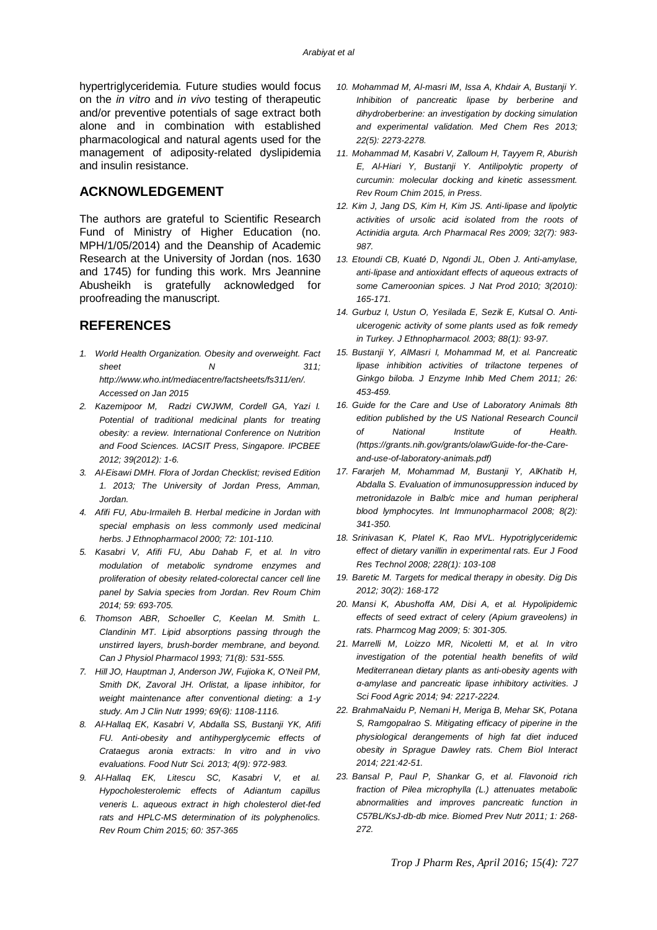hypertriglyceridemia. Future studies would focus on the *in vitro* and *in vivo* testing of therapeutic and/or preventive potentials of sage extract both alone and in combination with established pharmacological and natural agents used for the management of adiposity-related dyslipidemia and insulin resistance.

## **ACKNOWLEDGEMENT**

The authors are grateful to Scientific Research Fund of Ministry of Higher Education (no. MPH/1/05/2014) and the Deanship of Academic Research at the University of Jordan (nos. 1630 and 1745) for funding this work. Mrs Jeannine Abusheikh is gratefully acknowledged for proofreading the manuscript.

## **REFERENCES**

- *1. World Health Organization. Obesity and overweight. Fact sheet N 311; <http://www.who.int/mediacentre/factsheets/fs311/en/.> Accessed on Jan 2015*
- *2. Kazemipoor M, Radzi CWJWM, Cordell GA, Yazi I. Potential of traditional medicinal plants for treating obesity: a review. International Conference on Nutrition and Food Sciences. IACSIT Press, Singapore. IPCBEE 2012; 39(2012): 1-6.*
- *3. Al-Eisawi DMH. Flora of Jordan Checklist; revised Edition 1. 2013; The University of Jordan Press, Amman, Jordan.*
- *4. Afifi FU, Abu-Irmaileh B. Herbal medicine in Jordan with special emphasis on less commonly used medicinal herbs. J Ethnopharmacol 2000; 72: 101-110.*
- *5. Kasabri V, Afifi FU, Abu Dahab F, et al. In vitro modulation of metabolic syndrome enzymes and proliferation of obesity related-colorectal cancer cell line panel by Salvia species from Jordan. Rev Roum Chim 2014; 59: 693-705.*
- *6. Thomson ABR, Schoeller C, Keelan M. Smith L. Clandinin MT. Lipid absorptions passing through the unstirred layers, brush-border membrane, and beyond. Can J Physiol Pharmacol 1993; 71(8): 531-555.*
- *7. Hill JO, Hauptman J, Anderson JW, Fujioka K, O'Neil PM, Smith DK, Zavoral JH. Orlistat, a lipase inhibitor, for weight maintenance after conventional dieting: a 1-y study. Am J Clin Nutr 1999; 69(6): 1108-1116.*
- *8. Al-Hallaq EK, Kasabri V, Abdalla SS, Bustanji YK, Afifi FU. Anti-obesity and antihyperglycemic effects of Crataegus aronia extracts: In vitro and in vivo evaluations. Food Nutr Sci. 2013; 4(9): 972-983.*
- *9. Al-Hallaq EK, Litescu SC, Kasabri V, et al. Hypocholesterolemic effects of Adiantum capillus veneris L. aqueous extract in high cholesterol diet-fed rats and HPLC-MS determination of its polyphenolics. Rev Roum Chim 2015; 60: 357-365*
- *10. Mohammad M, Al-masri IM, Issa A, Khdair A, Bustanji Y. Inhibition of pancreatic lipase by berberine and dihydroberberine: an investigation by docking simulation and experimental validation. Med Chem Res 2013; 22(5): 2273-2278.*
- *11. Mohammad M, Kasabri V, Zalloum H, Tayyem R, Aburish E, Al-Hiari Y, Bustanji Y. Antilipolytic property of curcumin: molecular docking and kinetic assessment. Rev Roum Chim 2015, in Press.*
- *12. Kim J, Jang DS, Kim H, Kim JS. Anti-lipase and lipolytic activities of ursolic acid isolated from the roots of Actinidia arguta. Arch Pharmacal Res 2009; 32(7): 983- 987.*
- *13. Etoundi CB, Kuaté D, Ngondi JL, Oben J. Anti-amylase, anti-lipase and antioxidant effects of aqueous extracts of some Cameroonian spices. J Nat Prod 2010; 3(2010): 165-171.*
- *14. Gurbuz I, Ustun O, Yesilada E, Sezik E, Kutsal O. Antiulcerogenic activity of some plants used as folk remedy in Turkey. J Ethnopharmacol. 2003; 88(1): 93-97.*
- *15. Bustanji Y, AlMasri I, Mohammad M, et al. Pancreatic lipase inhibition activities of trilactone terpenes of Ginkgo biloba. J Enzyme Inhib Med Chem 2011; 26: 453-459.*
- *16. Guide for the Care and Use of Laboratory Animals 8th edition published by the US National Research Council of National Institute of Health. [\(https://grants.nih.gov/grants/olaw/Guide-for-the-Care](https://grants.nih.gov/grants/olaw/Guide-for-the-Care-)and-use-of-laboratory-animals.pdf)*
- *17. Fararjeh M, Mohammad M, Bustanji Y, AlKhatib H, Abdalla S. Evaluation of immunosuppression induced by metronidazole in Balb/c mice and human peripheral blood lymphocytes. Int Immunopharmacol 2008; 8(2): 341-350.*
- *18. Srinivasan K, Platel K, Rao MVL. Hypotriglyceridemic effect of dietary vanillin in experimental rats. Eur J Food Res Technol 2008; 228(1): 103-108*
- *19. Baretic M. Targets for medical therapy in obesity. Dig Dis 2012; 30(2): 168-172*
- *20. Mansi K, Abushoffa AM, Disi A, et al. Hypolipidemic effects of seed extract of celery (Apium graveolens) in rats. Pharmcog Mag 2009; 5: 301-305.*
- *21. Marrelli M, Loizzo MR, Nicoletti M, et al. In vitro investigation of the potential health benefits of wild Mediterranean dietary plants as anti-obesity agents with α-amylase and pancreatic lipase inhibitory activities. J Sci Food Agric 2014; 94: 2217-2224.*
- *22. BrahmaNaidu P, Nemani H, Meriga B, Mehar SK, Potana S, Ramgopalrao S. Mitigating efficacy of piperine in the physiological derangements of high fat diet induced obesity in Sprague Dawley rats. Chem Biol Interact 2014; 221:42-51.*
- *23. Bansal P, Paul P, Shankar G, et al. Flavonoid rich fraction of Pilea microphylla (L.) attenuates metabolic abnormalities and improves pancreatic function in C57BL/KsJ-db-db mice. Biomed Prev Nutr 2011; 1: 268- 272.*

*Trop J Pharm Res, April 2016; 15(4): 727*